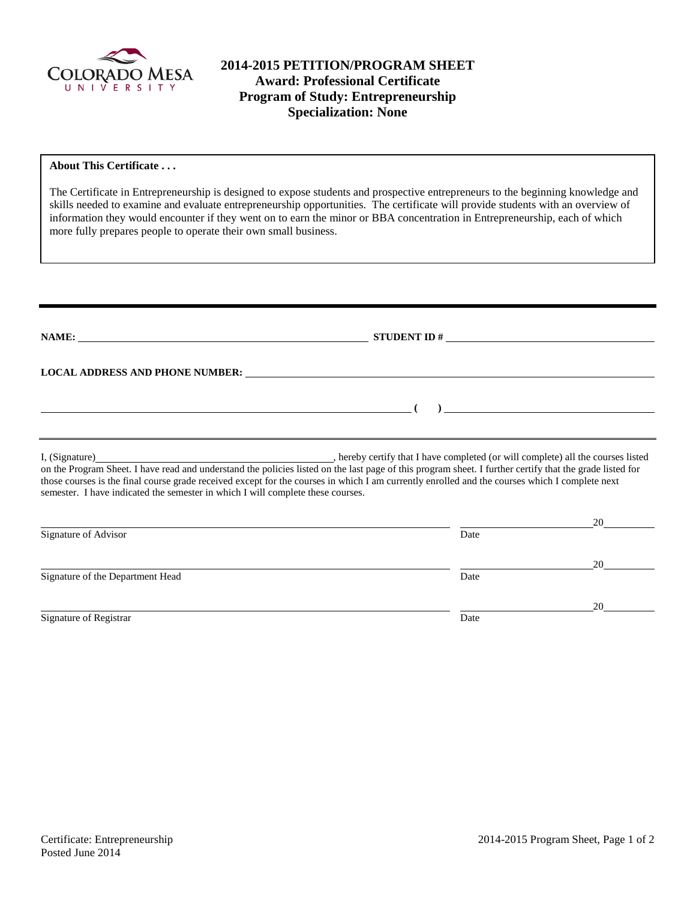

# **2014-2015 PETITION/PROGRAM SHEET Award: Professional Certificate Program of Study: Entrepreneurship Specialization: None**

### **About This Certificate . . .**

The Certificate in Entrepreneurship is designed to expose students and prospective entrepreneurs to the beginning knowledge and skills needed to examine and evaluate entrepreneurship opportunities. The certificate will provide students with an overview of information they would encounter if they went on to earn the minor or BBA concentration in Entrepreneurship, each of which more fully prepares people to operate their own small business.

|                                                                                                                      | LOCAL ADDRESS AND PHONE NUMBER: The contract of the contract of the contract of the contract of the contract of the contract of the contract of the contract of the contract of the contract of the contract of the contract o                                                                                                                                                    |    |
|----------------------------------------------------------------------------------------------------------------------|-----------------------------------------------------------------------------------------------------------------------------------------------------------------------------------------------------------------------------------------------------------------------------------------------------------------------------------------------------------------------------------|----|
| <u> 1989 - Johann John Stein, markin fan it ferstjer fan de ferstjer fan it ferstjer fan de ferstjer fan it fers</u> | $\begin{picture}(150,10) \put(0,0){\dashbox{0.5}(10,0){ }} \put(150,0){\circle{10}} \put(150,0){\circle{10}} \put(150,0){\circle{10}} \put(150,0){\circle{10}} \put(150,0){\circle{10}} \put(150,0){\circle{10}} \put(150,0){\circle{10}} \put(150,0){\circle{10}} \put(150,0){\circle{10}} \put(150,0){\circle{10}} \put(150,0){\circle{10}} \put(150,0){\circle{10}} \put(150,$ |    |
|                                                                                                                      |                                                                                                                                                                                                                                                                                                                                                                                   |    |
| semester. I have indicated the semester in which I will complete these courses.                                      | on the Program Sheet. I have read and understand the policies listed on the last page of this program sheet. I further certify that the grade listed for<br>those courses is the final course grade received except for the courses in which I am currently enrolled and the courses which I complete next                                                                        |    |
|                                                                                                                      |                                                                                                                                                                                                                                                                                                                                                                                   | 20 |
| Signature of Advisor                                                                                                 | Date                                                                                                                                                                                                                                                                                                                                                                              |    |
|                                                                                                                      |                                                                                                                                                                                                                                                                                                                                                                                   | 20 |
| Signature of the Department Head                                                                                     | Date                                                                                                                                                                                                                                                                                                                                                                              |    |
|                                                                                                                      |                                                                                                                                                                                                                                                                                                                                                                                   | 20 |
| Signature of Registrar                                                                                               | Date                                                                                                                                                                                                                                                                                                                                                                              |    |